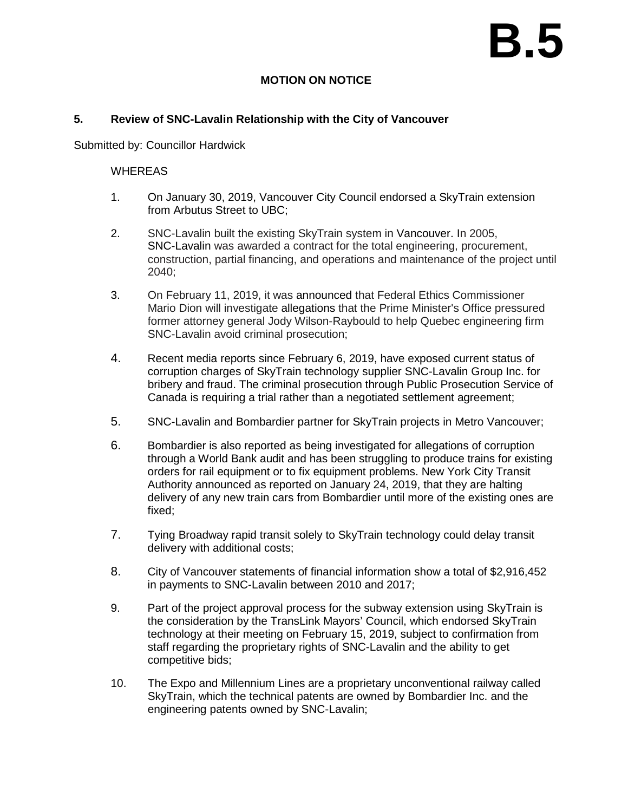# **B.5**

# **MOTION ON NOTICE**

## **5. Review of SNC-Lavalin Relationship with the City of Vancouver**

Submitted by: Councillor Hardwick

## WHEREAS

- 1. On January 30, 2019, Vancouver City Council endorsed a SkyTrain extension from Arbutus Street to UBC;
- 2. SNC-Lavalin built the existing SkyTrain system in Vancouver. In 2005, SNC-Lavalin was awarded a contract for the total engineering, procurement, construction, partial financing, and operations and maintenance of the project until 2040;
- 3. On February 11, 2019, it was announced that Federal Ethics Commissioner Mario Dion will investigate allegations that the Prime Minister's Office pressured former attorney general Jody Wilson-Raybould to help Quebec engineering firm SNC-Lavalin avoid criminal prosecution;
- 4. Recent media reports since February 6, 2019, have exposed current status of corruption charges of SkyTrain technology supplier SNC-Lavalin Group Inc. for bribery and fraud. The criminal prosecution through Public Prosecution Service of Canada is requiring a trial rather than a negotiated settlement agreement;
- 5. SNC-Lavalin and Bombardier partner for SkyTrain projects in Metro Vancouver;
- 6. Bombardier is also reported as being investigated for allegations of corruption through a World Bank audit and has been struggling to produce trains for existing orders for rail equipment or to fix equipment problems. New York City Transit Authority announced as reported on January 24, 2019, that they are halting delivery of any new train cars from Bombardier until more of the existing ones are fixed;
- 7. Tying Broadway rapid transit solely to SkyTrain technology could delay transit delivery with additional costs;
- 8. City of Vancouver statements of financial information show a total of \$2,916,452 in payments to SNC-Lavalin between 2010 and 2017;
- 9. Part of the project approval process for the subway extension using SkyTrain is the consideration by the TransLink Mayors' Council, which endorsed SkyTrain technology at their meeting on February 15, 2019, subject to confirmation from staff regarding the proprietary rights of SNC-Lavalin and the ability to get competitive bids;
- 10. The Expo and Millennium Lines are a proprietary unconventional railway called SkyTrain, which the technical patents are owned by Bombardier Inc. and the engineering patents owned by SNC-Lavalin;